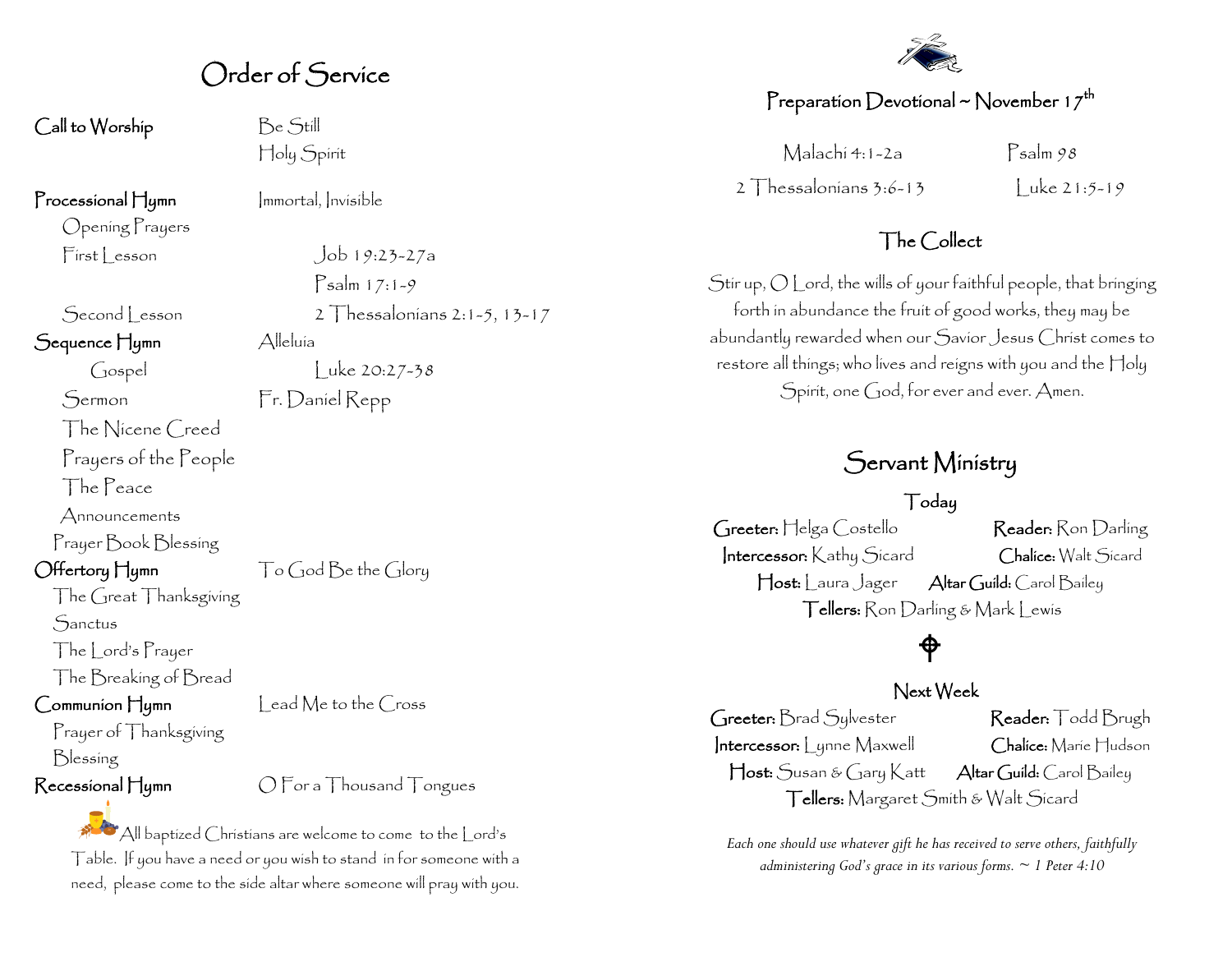### Order of Service

Call to Worship Be Still

Processional Hymn Immortal, Invisible

Opening Prayers

Sequence Hymn Alleluía

The Nicene Creed

Prayers of the People

The Peace

Announcements

Prayer Book Blessing

The Great Thanksgiving

**Sanctus** 

The Lord's Prayer

The Breaking of Bread

Communion Hymn Lead Me to the Cross

Prayer of Thanksgiving

Blessing

Recessional Hymn  $\bigcirc$  For a Thousand Tongues

All baptized Christians are welcome to come to the Lord's Table. If you have a need or you wish to stand in for someone with a need, please come to the side altar where someone will pray with you.

Holy Spirit

 $First$  esson  $Job 19:23-27a$ Psalm 17:1-9 Second Lesson 2 Thessalonians 2:1-5, 13-17

 $\int \csc^2 20:27-38$ 

Sermon Fr. Daniel Repp

## Offertory Hymn  $\bigcap$  God Be the Glory

## Preparation Devotional ~ November 17<sup>th</sup>

 $Malachi 4:1-2a$   $Psalm 98$ 2 Thessalonians  $3:6-13$  luke 21:5-19

### The Collect

Stir up, O Lord, the wills of your faithful people, that bringing forth in abundance the fruit of good works, they may be abundantly rewarded when our Savior Jesus Christ comes to restore all things; who lives and reigns with you and the Holy Spirit, one God, for ever and ever. Amen.

## Servant Ministry

#### Today

Greeter: Helga Costello Reader: Ron Darling Intercessor: Kathy Sicard Chalice: Walt Sicard Host: Laura Jager Altar Guild: Carol Bailey Tellers: Ron Darling & Mark Lewis

## ⅌

#### Next Week

Greeter: Brad Sylvester Reader: Todd Brugh Intercessor: Lynne Maxwell Chalice: Marie Hudson Host: Susan & Gary Katt Altar Guild: Carol Bailey Tellers: Margaret Smith & Walt Sicard

*Each one should use whatever gift he has received to serve others, faithfully administering God's grace in its various forms. ~ 1 Peter 4:10*